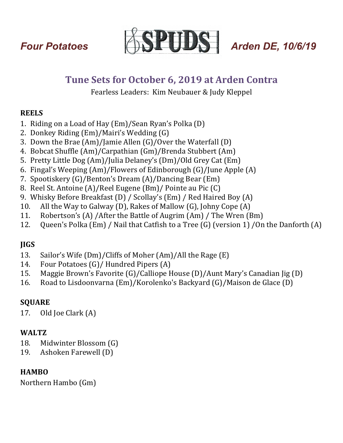

# Tune Sets for October 6, 2019 at Arden Contra

Fearless Leaders: Kim Neubauer & Judy Kleppel

## **REELS**

- 1. Riding on a Load of Hay  $(Em)/Sean Ryan's Polka(D)$
- 2. Donkey Riding  $(Em)/M$ airi's Wedding  $(G)$
- 3. Down the Brae  $(Am)/J$ amie Allen  $(G)/O$ ver the Waterfall  $(D)$
- 4. Bobcat Shuffle (Am)/Carpathian (Gm)/Brenda Stubbert (Am)
- 5. Pretty Little Dog (Am)/Julia Delaney's (Dm)/Old Grey Cat (Em)
- 6. Fingal's Weeping  $(Am)/F$ lowers of Edinborough  $(G)/J$ une Apple  $(A)$
- 7. Spootiskery  $(G)/\text{Benton's Dream}(A)/\text{Dancing Bear}(Em)$
- 8. Reel St. Antoine (A)/Reel Eugene (Bm)/ Pointe au Pic (C)
- 9. Whisky Before Breakfast (D) / Scollay's (Em) / Red Haired Boy (A)
- 10. All the Way to Galway (D), Rakes of Mallow  $(G)$ , Johny Cope  $(A)$
- 11. Robertson's (A) /After the Battle of Augrim (Am) / The Wren (Bm)
- 12. Queen's Polka (Em) / Nail that Catfish to a Tree (G) (version 1) / On the Danforth (A)

## **JIGS**

- 13. Sailor's Wife  $(Dm)/Cliffs$  of Moher  $(Am)/All$  the Rage  $(E)$
- 14. Four Potatoes  $(G)$ / Hundred Pipers  $(A)$
- 15. Maggie Brown's Favorite  $(G)/C$ alliope House  $(D)/A$ unt Mary's Canadian  $[ig(D)]$
- 16. Road to Lisdoonvarna (Em)/Korolenko's Backyard (G)/Maison de Glace (D)

## **SQUARE**

17. Old Joe Clark  $(A)$ 

## **WALTZ**

- 18. Midwinter Blossom (G)
- 19. Ashoken Farewell (D)

## **HAMBO**

Northern Hambo (Gm)